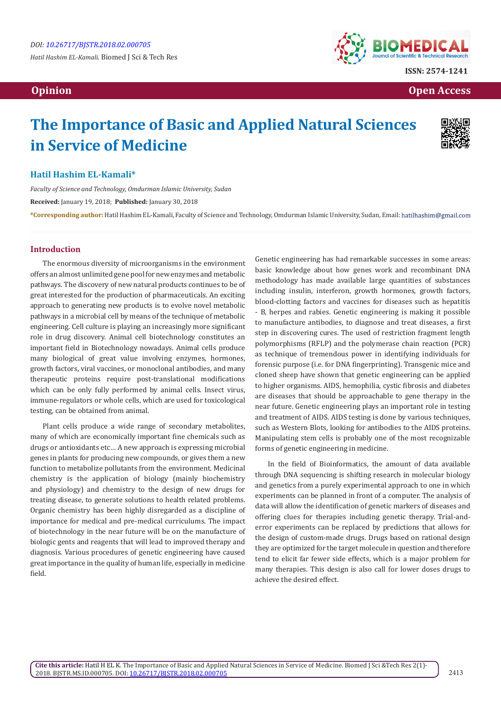

**ISSN: 2574-1241**

 **Opinion Open Access Open Access**  *Open Access* **<b>** *Open Access* 

# **The Importance of Basic and Applied Natural Sciences in Service of Medicine**



### **Hatil Hashim EL-Kamali\***

*Faculty of Science and Technology, Omdurman Islamic University, Sudan* **Received:** January 19, 2018; **Published:** January 30, 2018 **\*Corresponding author:** Hatil Hashim EL-Kamali, Faculty of Science and Technology, Omdurman Islamic University, Sudan, Email:

#### **Introduction**

The enormous diversity of microorganisms in the environment offers an almost unlimited gene pool for new enzymes and metabolic pathways. The discovery of new natural products continues to be of great interested for the production of pharmaceuticals. An exciting approach to generating new products is to evolve novel metabolic pathways in a microbial cell by means of the technique of metabolic engineering. Cell culture is playing an increasingly more significant role in drug discovery. Animal cell biotechnology constitutes an important field in Biotechnology nowadays. Animal cells produce many biological of great value involving enzymes, hormones, growth factors, viral vaccines, or monoclonal antibodies, and many therapeutic proteins require post-translational modifications which can be only fully performed by animal cells. Insect virus, immune-regulators or whole cells, which are used for toxicological testing, can be obtained from animal.

Plant cells produce a wide range of secondary metabolites, many of which are economically important fine chemicals such as drugs or antioxidants etc… A new approach is expressing microbial genes in plants for producing new compounds, or gives them a new function to metabolize pollutants from the environment. Medicinal chemistry is the application of biology (mainly biochemistry and physiology) and chemistry to the design of new drugs for treating disease, to generate solutions to health related problems. Organic chemistry has been highly disregarded as a discipline of importance for medical and pre-medical curriculums. The impact of biotechnology in the near future will be on the manufacture of biologic gents and reagents that will lead to improved therapy and diagnosis. Various procedures of genetic engineering have caused great importance in the quality of human life, especially in medicine field.

Genetic engineering has had remarkable successes in some areas: basic knowledge about how genes work and recombinant DNA methodology has made available large quantities of substances including insulin, interferon, growth hormones, growth factors, blood-clotting factors and vaccines for diseases such as hepatitis - B, herpes and rabies. Genetic engineering is making it possible to manufacture antibodies, to diagnose and treat diseases, a first step in discovering cures. The used of restriction fragment length polymorphisms (RFLP) and the polymerase chain reaction (PCR) as technique of tremendous power in identifying individuals for forensic purpose (i.e. for DNA fingerprinting). Transgenic mice and cloned sheep have shown that genetic engineering can be applied to higher organisms. AIDS, hemophilia, cystic fibrosis and diabetes are diseases that should be approachable to gene therapy in the near future. Genetic engineering plays an important role in testing and treatment of AIDS. AIDS testing is done by various techniques, such as Western Blots, looking for antibodies to the AIDS proteins. Manipulating stem cells is probably one of the most recognizable forms of genetic engineering in medicine.

In the field of Bioinformatics, the amount of data available through DNA sequencing is shifting research in molecular biology and genetics from a purely experimental approach to one in which experiments can be planned in front of a computer. The analysis of data will allow the identification of genetic markers of diseases and offering clues for therapies including genetic therapy. Trial-anderror experiments can be replaced by predictions that allows for the design of custom-made drugs. Drugs based on rational design they are optimized for the target molecule in question and therefore tend to elicit far fewer side effects, which is a major problem for many therapies. This design is also call for lower doses drugs to achieve the desired effect.